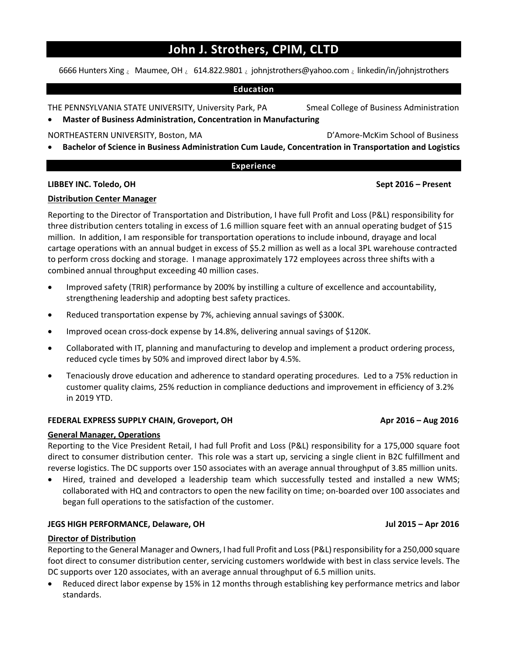## **John J. Strothers, CPIM, CLTD**

6666 Hunters Xing & Maumee, OH & 614.822.9801 & johnjstrothers@yahoo.com & linkedin/in/johnjstrothers

#### **Education**

THE PENNSYLVANIA STATE UNIVERSITY, University Park, PA Smeal College of Business Administration

**Master of Business Administration, Concentration in Manufacturing** 

NORTHEASTERN UNIVERSITY, Boston, MA D'Amore‐McKim School of Business

**Bachelor of Science in Business Administration Cum Laude, Concentration in Transportation and Logistics** 

#### **Experience**

#### **LIBBEY INC. Toledo, OH Sept 2016 – Present**

### **Distribution Center Manager**

Reporting to the Director of Transportation and Distribution, I have full Profit and Loss (P&L) responsibility for three distribution centers totaling in excess of 1.6 million square feet with an annual operating budget of \$15 million. In addition, I am responsible for transportation operations to include inbound, drayage and local cartage operations with an annual budget in excess of \$5.2 million as well as a local 3PL warehouse contracted to perform cross docking and storage. I manage approximately 172 employees across three shifts with a combined annual throughput exceeding 40 million cases.

- Improved safety (TRIR) performance by 200% by instilling a culture of excellence and accountability, strengthening leadership and adopting best safety practices.
- Reduced transportation expense by 7%, achieving annual savings of \$300K.
- Improved ocean cross-dock expense by 14.8%, delivering annual savings of \$120K.
- Collaborated with IT, planning and manufacturing to develop and implement a product ordering process, reduced cycle times by 50% and improved direct labor by 4.5%.
- Tenaciously drove education and adherence to standard operating procedures. Led to a 75% reduction in customer quality claims, 25% reduction in compliance deductions and improvement in efficiency of 3.2% in 2019 YTD.

#### **FEDERAL EXPRESS SUPPLY CHAIN, Groveport, OH Apr 2016 – Aug 2016**

#### **General Manager, Operations**

Reporting to the Vice President Retail, I had full Profit and Loss (P&L) responsibility for a 175,000 square foot direct to consumer distribution center. This role was a start up, servicing a single client in B2C fulfillment and reverse logistics. The DC supports over 150 associates with an average annual throughput of 3.85 million units.

Hired, trained and developed a leadership team which successfully tested and installed a new WMS; collaborated with HQ and contractors to open the new facility on time; on‐boarded over 100 associates and began full operations to the satisfaction of the customer.

#### **JEGS HIGH PERFORMANCE, Delaware, OH Jul 2015 – Apr 2016**

#### **Director of Distribution**

Reporting to the General Manager and Owners, I had full Profit and Loss (P&L) responsibility for a 250,000 square foot direct to consumer distribution center, servicing customers worldwide with best in class service levels. The DC supports over 120 associates, with an average annual throughput of 6.5 million units.

 Reduced direct labor expense by 15% in 12 months through establishing key performance metrics and labor standards.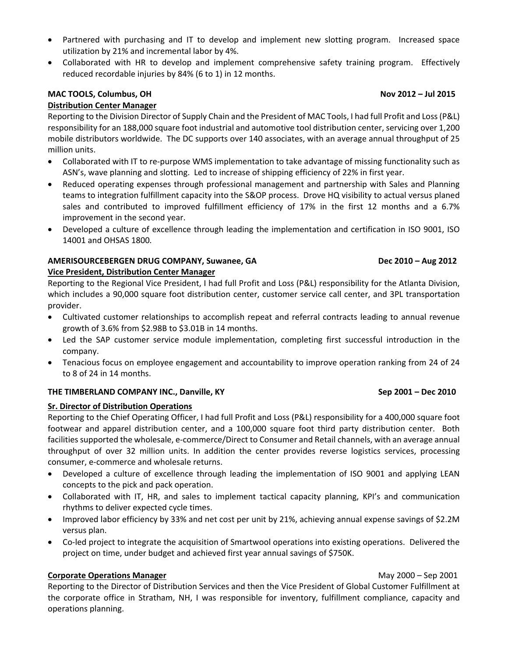- Partnered with purchasing and IT to develop and implement new slotting program. Increased space utilization by 21% and incremental labor by 4%.
- Collaborated with HR to develop and implement comprehensive safety training program. Effectively reduced recordable injuries by 84% (6 to 1) in 12 months.

# **MAC TOOLS, Columbus, OH Nov 2012 – Jul 2015**

### **Distribution Center Manager**

Reporting to the Division Director of Supply Chain and the President of MAC Tools, I had full Profit and Loss (P&L) responsibility for an 188,000 square foot industrial and automotive tool distribution center, servicing over 1,200 mobile distributors worldwide. The DC supports over 140 associates, with an average annual throughput of 25 million units.

- Collaborated with IT to re-purpose WMS implementation to take advantage of missing functionality such as ASN's, wave planning and slotting. Led to increase of shipping efficiency of 22% in first year.
- Reduced operating expenses through professional management and partnership with Sales and Planning teams to integration fulfillment capacity into the S&OP process. Drove HQ visibility to actual versus planed sales and contributed to improved fulfillment efficiency of 17% in the first 12 months and a 6.7% improvement in the second year.
- Developed a culture of excellence through leading the implementation and certification in ISO 9001, ISO 14001 and OHSAS 1800*.*

#### **AMERISOURCEBERGEN DRUG COMPANY, Suwanee, GA Dec 2010 – Aug 2012 Vice President, Distribution Center Manager**

Reporting to the Regional Vice President, I had full Profit and Loss (P&L) responsibility for the Atlanta Division, which includes a 90,000 square foot distribution center, customer service call center, and 3PL transportation provider.

- Cultivated customer relationships to accomplish repeat and referral contracts leading to annual revenue growth of 3.6% from \$2.98B to \$3.01B in 14 months.
- Led the SAP customer service module implementation, completing first successful introduction in the company.
- Tenacious focus on employee engagement and accountability to improve operation ranking from 24 of 24 to 8 of 24 in 14 months.

#### **THE TIMBERLAND COMPANY INC., Danville, KY Sep 2001 – Dec 2010**

#### **Sr. Director of Distribution Operations**

Reporting to the Chief Operating Officer, I had full Profit and Loss (P&L) responsibility for a 400,000 square foot footwear and apparel distribution center, and a 100,000 square foot third party distribution center. Both facilities supported the wholesale, e‐commerce/Direct to Consumer and Retail channels, with an average annual throughput of over 32 million units. In addition the center provides reverse logistics services, processing consumer, e‐commerce and wholesale returns.

- Developed a culture of excellence through leading the implementation of ISO 9001 and applying LEAN concepts to the pick and pack operation.
- Collaborated with IT, HR, and sales to implement tactical capacity planning, KPI's and communication rhythms to deliver expected cycle times.
- Improved labor efficiency by 33% and net cost per unit by 21%, achieving annual expense savings of \$2.2M versus plan.
- Co-led project to integrate the acquisition of Smartwool operations into existing operations. Delivered the project on time, under budget and achieved first year annual savings of \$750K.

#### **Corporate Operations Manager** May 2000 – Sep 2001

Reporting to the Director of Distribution Services and then the Vice President of Global Customer Fulfillment at the corporate office in Stratham, NH, I was responsible for inventory, fulfillment compliance, capacity and operations planning.